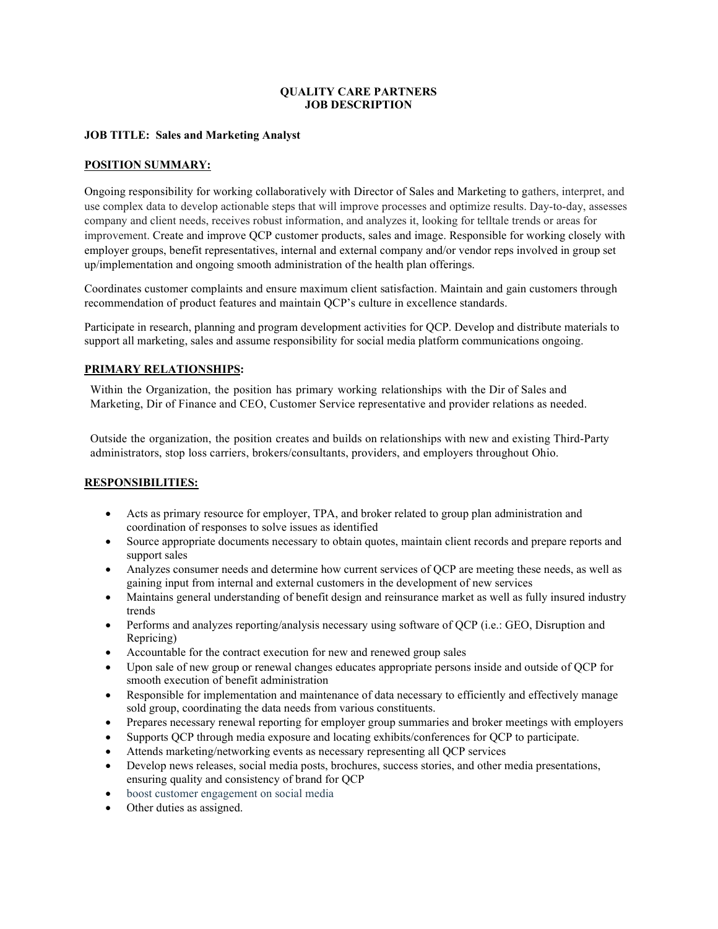### QUALITY CARE PARTNERS JOB DESCRIPTION

### JOB TITLE: Sales and Marketing Analyst

### POSITION SUMMARY:

Ongoing responsibility for working collaboratively with Director of Sales and Marketing to gathers, interpret, and use complex data to develop actionable steps that will improve processes and optimize results. Day-to-day, assesses company and client needs, receives robust information, and analyzes it, looking for telltale trends or areas for improvement. Create and improve QCP customer products, sales and image. Responsible for working closely with employer groups, benefit representatives, internal and external company and/or vendor reps involved in group set up/implementation and ongoing smooth administration of the health plan offerings.

Coordinates customer complaints and ensure maximum client satisfaction. Maintain and gain customers through recommendation of product features and maintain QCP's culture in excellence standards.

Participate in research, planning and program development activities for QCP. Develop and distribute materials to support all marketing, sales and assume responsibility for social media platform communications ongoing.

### PRIMARY RELATIONSHIPS:

Within the Organization, the position has primary working relationships with the Dir of Sales and Marketing, Dir of Finance and CEO, Customer Service representative and provider relations as needed.

Outside the organization, the position creates and builds on relationships with new and existing Third-Party administrators, stop loss carriers, brokers/consultants, providers, and employers throughout Ohio.

### RESPONSIBILITIES:

- Acts as primary resource for employer, TPA, and broker related to group plan administration and coordination of responses to solve issues as identified
- Source appropriate documents necessary to obtain quotes, maintain client records and prepare reports and support sales
- Analyzes consumer needs and determine how current services of QCP are meeting these needs, as well as gaining input from internal and external customers in the development of new services
- Maintains general understanding of benefit design and reinsurance market as well as fully insured industry trends
- Performs and analyzes reporting/analysis necessary using software of QCP (i.e.: GEO, Disruption and Repricing)
- Accountable for the contract execution for new and renewed group sales
- Upon sale of new group or renewal changes educates appropriate persons inside and outside of QCP for smooth execution of benefit administration
- Responsible for implementation and maintenance of data necessary to efficiently and effectively manage sold group, coordinating the data needs from various constituents.
- Prepares necessary renewal reporting for employer group summaries and broker meetings with employers
- Supports QCP through media exposure and locating exhibits/conferences for QCP to participate.
- Attends marketing/networking events as necessary representing all QCP services
- Develop news releases, social media posts, brochures, success stories, and other media presentations, ensuring quality and consistency of brand for QCP
- boost customer engagement on social media
- Other duties as assigned.